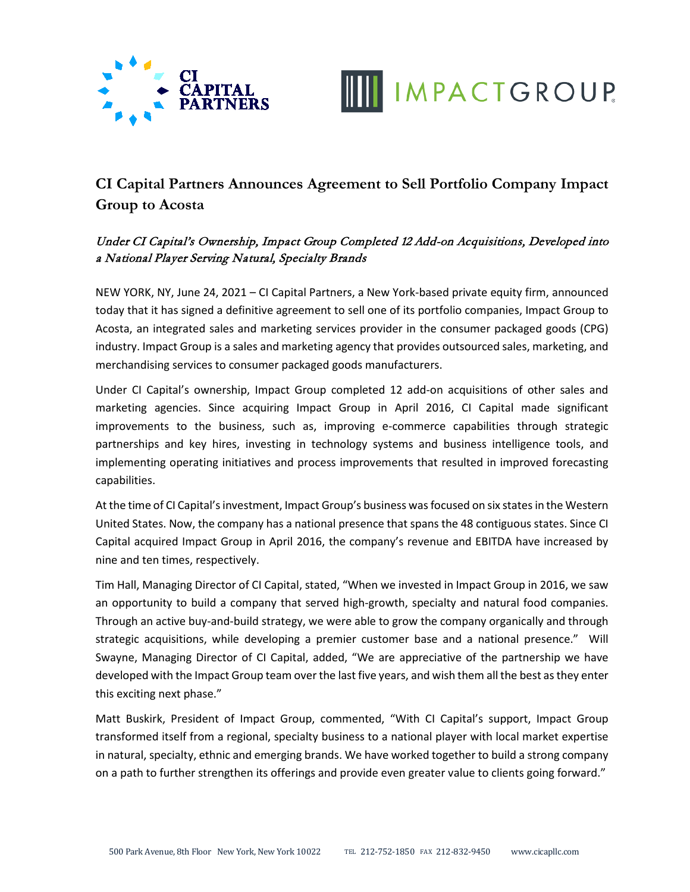



## **CI Capital Partners Announces Agreement to Sell Portfolio Company Impact Group to Acosta**

## Under CI Capital's Ownership, Impact Group Completed 12 Add-on Acquisitions, Developed into a National Player Serving Natural, Specialty Brands

NEW YORK, NY, June 24, 2021 – CI Capital Partners, a New York-based private equity firm, announced today that it has signed a definitive agreement to sell one of its portfolio companies, Impact Group to Acosta, an integrated sales and marketing services provider in the consumer packaged goods (CPG) industry. Impact Group is a sales and marketing agency that provides outsourced sales, marketing, and merchandising services to consumer packaged goods manufacturers.

Under CI Capital's ownership, Impact Group completed 12 add-on acquisitions of other sales and marketing agencies. Since acquiring Impact Group in April 2016, CI Capital made significant improvements to the business, such as, improving e-commerce capabilities through strategic partnerships and key hires, investing in technology systems and business intelligence tools, and implementing operating initiatives and process improvements that resulted in improved forecasting capabilities.

At the time of CI Capital's investment, Impact Group's business was focused on six states in the Western United States. Now, the company has a national presence that spans the 48 contiguous states. Since CI Capital acquired Impact Group in April 2016, the company's revenue and EBITDA have increased by nine and ten times, respectively.

Tim Hall, Managing Director of CI Capital, stated, "When we invested in Impact Group in 2016, we saw an opportunity to build a company that served high-growth, specialty and natural food companies. Through an active buy-and-build strategy, we were able to grow the company organically and through strategic acquisitions, while developing a premier customer base and a national presence." Will Swayne, Managing Director of CI Capital, added, "We are appreciative of the partnership we have developed with the Impact Group team over the last five years, and wish them all the best as they enter this exciting next phase."

Matt Buskirk, President of Impact Group, commented, "With CI Capital's support, Impact Group transformed itself from a regional, specialty business to a national player with local market expertise in natural, specialty, ethnic and emerging brands. We have worked together to build a strong company on a path to further strengthen its offerings and provide even greater value to clients going forward."